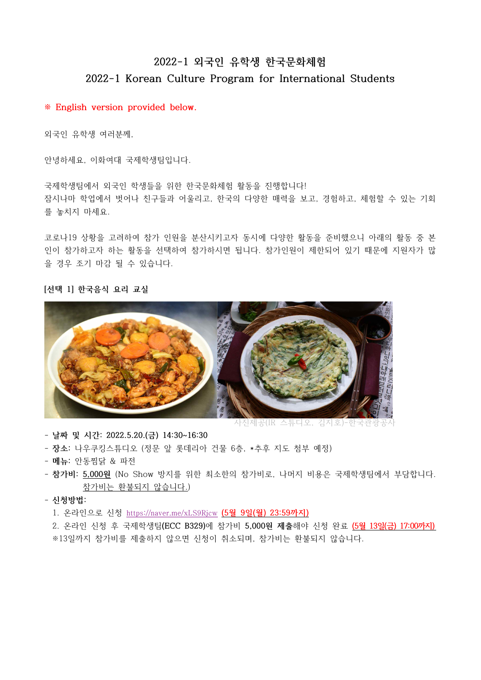# **2022-1 외국인 유학생 한국문화체험 2022-1 Korean Culture Program for International Students**

# **※ English version provided below.**

외국인 유학생 여러분께,

안녕하세요, 이화여대 국제학생팀입니다.<br>국제학생팀에서 외국인 학생들을 위한 한국문화체험 활동을 진행합니다! 잠시나마 학업에서 벗어나 친구들과 어울리고, 한국의 다양한 매력을 보고, 경험하고, 체험할 수 있는 기회

를 놓치지 마세요.<br><br>코로나19 상황을 고려하여 참가 인원을 분산시키고자 동시에 다양한 활동을 준비했으니 아래의 활동 중 본 인이 참가하고자 하는 활동을 선택하여 참가하시면 됩니다. 참가인원이 제한되어 있기 때문에 지원자가 많 을 경우 조기 마감 될 수 있습니다.

## **[선택 1] 한국음식 요리 교실**



사진제공(IR 스튜디오, 김지호)-한국관광공사

- **날짜 및 시간: 2022.5.20.(금) 14:30~16:30**
- **장소**: 나우쿠킹스튜디오 (정문 앞 롯데리아 건물 6층, \*추후 지도 첨부 예정)<br>- **메뉴**: 안동찜닭 & 파전
- 
- **참가비: 5,000원** (No Show 방지를 위한 최소한의 참가비로, 나머지 비용은 국제학생팀에서 부담합니다. 참가비는 환불되지 않습니다.)
- **신청방법:**

1. 온라인으로 신청 https://naver.me/xLS9Rjcw **(5월 9일(월) 23:59까지)**

 2. 온라인 신청 후 국제학생팀**(ECC B329)**에 참가비 **5,000원 제출**해야 신청 완료 **(5월 13일(금) 17:00까지)**  ※13일까지 참가비를 제출하지 않으면 신청이 취소되며, 참가비는 환불되지 않습니다.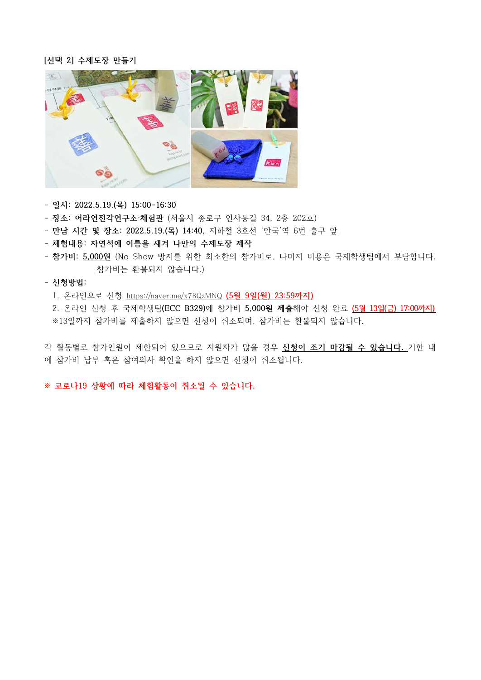## **[선택 2] 수제도장 만들기**



- **일시: 2022.5.19.(목) 15:00-16:30**
- **장소: 어라연전각연구소·체험관** (서울시 종로구 인사동길 34, 2층 202호)
- **만남 시간 및 장소: 2022.5.19.(목) 14:40,** 지하철 3호선 '안국'역 6번 출구 앞
- **체험내용: 자연석에 이름을 새겨 나만의 수제도장 제작**
- **참가비: 5,000원** (No Show 방지를 위한 최소한의 참가비로, 나머지 비용은 국제학생팀에서 부담합니다. 참가비는 환불되지 않습니다.)

# - **신청방법:**

1. 온라인으로 신청 https://naver.me/x78QzMNQ **(5월 9일(월) 23:59까지)**

 2. 온라인 신청 후 국제학생팀**(ECC B329)**에 참가비 **5,000원 제출**해야 신청 완료 **(5월 13일(금) 17:00까지)**  ※13일까지 참가비를 제출하지 않으면 신청이 취소되며, 참가비는 환불되지 않습니다.

각 활동별로 참가인원이 제한되어 있으므로 지원자가 많을 경우 **신청이 조기 마감될 수 있습니다.** 기한 내 에 참가비 납부 혹은 참여의사 확인을 하지 않으면 신청이 취소됩니다.

**※ 코로나19 상황에 따라 체험활동이 취소될 수 있습니다.**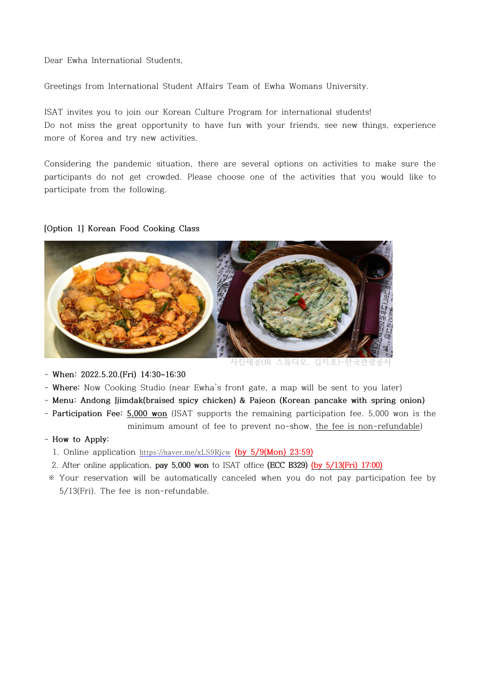Dear Ewha International Students,

Greetings from International Student Affairs Team of Ewha Womans University.

ISAT invites you to join our Korean Culture Program for international students! Do not miss the great opportunity to have fun with your friends, see new things, experience more of Korea and try new activities.

Considering the pandemic situation, there are several options on activities to make sure the participants do not get crowded. Please choose one of the activities that you would like to participate from the following.

# **[Option 1] Korean Food Cooking Class**



사진제공(IR 스튜디오, 김지호)-한국관광공

- **When: 2022.5.20.(Fri) 14:30~16:30**

- **Where:** Now Cooking Studio (near Ewha's front gate, a map will be sent to you later)
- **Menu: Andong Jjimdak(braised spicy chicken) & Pajeon (Korean pancake with spring onion)**
- **Participation Fee: 5,000 won** (ISAT supports the remaining participation fee. 5,000 won is the minimum amount of fee to prevent no-show, the fee is non-refundable)

## - **How to Apply:**

- 1. Online application https://naver.me/xLS9Rjcw **(by 5/9(Mon) 23:59)**
- 2. After online application, **pay 5,000 won** to ISAT office **(ECC B329) (by 5/13(Fri) 17:00)**
- ※ Your reservation will be automatically canceled when you do not pay participation fee by 5/13(Fri). The fee is non-refundable.